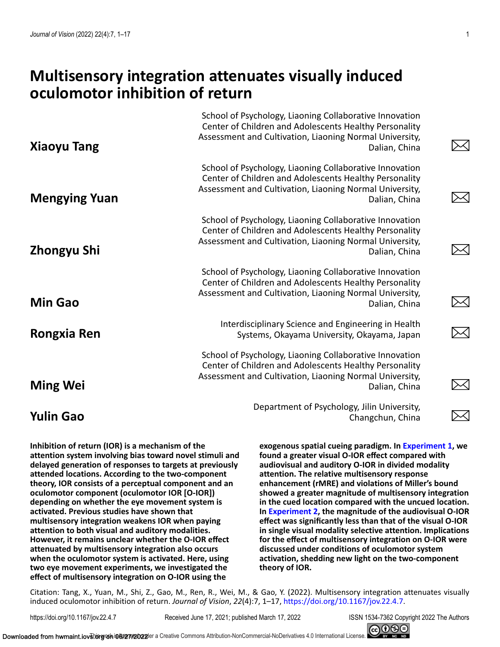# **Multisensory integration attenuates visually induced oculomotor inhibition of return**

| <b>Xiaoyu Tang</b>   | School of Psychology, Liaoning Collaborative Innovation<br>Center of Children and Adolescents Healthy Personality<br>Assessment and Cultivation, Liaoning Normal University,<br>Dalian, China |         |
|----------------------|-----------------------------------------------------------------------------------------------------------------------------------------------------------------------------------------------|---------|
| <b>Mengying Yuan</b> | School of Psychology, Liaoning Collaborative Innovation<br>Center of Children and Adolescents Healthy Personality<br>Assessment and Cultivation, Liaoning Normal University,<br>Dalian, China |         |
| Zhongyu Shi          | School of Psychology, Liaoning Collaborative Innovation<br>Center of Children and Adolescents Healthy Personality<br>Assessment and Cultivation, Liaoning Normal University,<br>Dalian, China |         |
| <b>Min Gao</b>       | School of Psychology, Liaoning Collaborative Innovation<br>Center of Children and Adolescents Healthy Personality<br>Assessment and Cultivation, Liaoning Normal University,<br>Dalian, China | $\Join$ |
| <b>Rongxia Ren</b>   | Interdisciplinary Science and Engineering in Health<br>Systems, Okayama University, Okayama, Japan                                                                                            |         |
| <b>Ming Wei</b>      | School of Psychology, Liaoning Collaborative Innovation<br>Center of Children and Adolescents Healthy Personality<br>Assessment and Cultivation, Liaoning Normal University,<br>Dalian, China |         |
| <b>Yulin Gao</b>     | Department of Psychology, Jilin University,<br>Changchun, China                                                                                                                               |         |

**Inhibition of return (IOR) is a mechanism of the attention system involving bias toward novel stimuli and delayed generation of responses to targets at previously attended locations. According to the two-component theory, IOR consists of a perceptual component and an oculomotor component (oculomotor IOR [O-IOR]) depending on whether the eye movement system is activated. Previous studies have shown that multisensory integration weakens IOR when paying attention to both visual and auditory modalities. However, it remains unclear whether the O-IOR effect attenuated by multisensory integration also occurs when the oculomotor system is activated. Here, using two eye movement experiments, we investigated the effect of multisensory integration on O-IOR using the**

**exogenous spatial cueing paradigm. In [Experiment 1,](#page-2-0) we found a greater visual O-IOR effect compared with audiovisual and auditory O-IOR in divided modality attention. The relative multisensory response enhancement (rMRE) and violations of Miller's bound showed a greater magnitude of multisensory integration in the cued location compared with the uncued location. In [Experiment 2,](#page-8-0) the magnitude of the audiovisual O-IOR effect was significantly less than that of the visual O-IOR in single visual modality selective attention. Implications for the effect of multisensory integration on O-IOR were discussed under conditions of oculomotor system activation, shedding new light on the two-component theory of IOR.**

Citation: Tang, X., Yuan, M., Shi, Z., Gao, M., Ren, R., Wei, M., & Gao, Y. (2022). Multisensory integration attenuates visually induced oculomotor inhibition of return. *Journal of Vision*, *22*(4):7, 1–17, [https://doi.org/10.1167/jov.22.4.7.](https://doi.org/10.1167/jov.22.4.7)

https://doi.org/10.1167/jov.22.4.7 Received June 17, 2021; published March 17, 2022 ISSN 1534-7362 Copyright 2022 The Authors

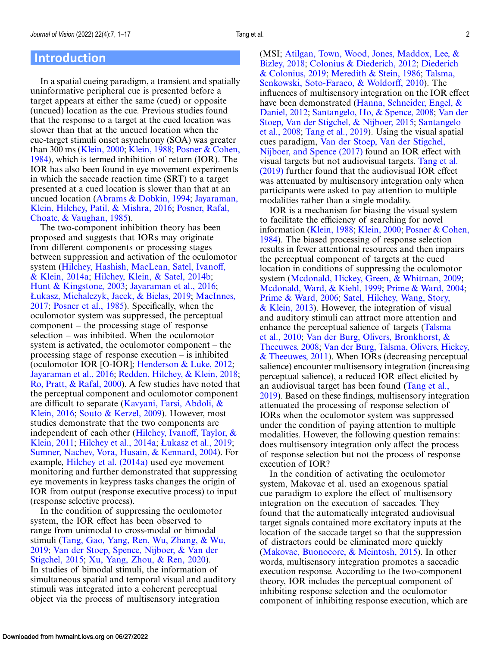### **Introduction**

In a spatial cueing paradigm, a transient and spatially uninformative peripheral cue is presented before a target appears at either the same (cued) or opposite (uncued) location as the cue. Previous studies found that the response to a target at the cued location was slower than that at the uncued location when the cue-target stimuli onset asynchrony (SOA) was greater than 300 ms [\(Klein, 2000;](#page-14-0) [Klein, 1988;](#page-14-0) Posner & Cohen, [1984\), which is termed inhibition of return \(IOR\). The](#page-15-0) IOR has also been found in eye movement experiments in which the saccade reaction time (SRT) to a target presented at a cued location is slower than that at an [uncued location \(](#page-14-0)[Abrams & Dobkin, 1994](#page-13-0)[;](#page-14-0) Jayaraman, [Klein, Hilchey, Patil, & Mishra, 2016;](#page-15-0) Posner, Rafal, Choate, & Vaughan, 1985).

The two-component inhibition theory has been proposed and suggests that IORs may originate from different components or processing stages between suppression and activation of the oculomotor [system \(Hilchey, Hashish, MacLean, Satel, Ivanoff,](#page-13-0) & Klein, 2014a; [Hilchey, Klein, & Satel, 2014b;](#page-13-0) [Hunt & Kingstone, 2003;](#page-14-0) [Jayaraman et al., 2016;](#page-14-0) [Łukasz, Michalczyk, Jacek, & Bielas, 2019;](#page-14-0) MacInnes, 2017; [Posner et al., 1985\)](#page-15-0). Specifically, when the oculomotor system was suppressed, the perceptual component – the processing stage of response selection – was inhibited. When the oculomotor system is activated, the oculomotor component – the processing stage of response execution – is inhibited (oculomotor IOR [O-IOR]; [Henderson & Luke, 2012;](#page-13-0) [Jayaraman et al., 2016;](#page-14-0) [Redden, Hilchey, & Klein, 2018;](#page-15-0) [Ro, Pratt, & Rafal, 2000\)](#page-15-0). A few studies have noted that the perceptual component and oculomotor component [are difficult to separate \(Kavyani, Farsi, Abdoli, &](#page-14-0) Klein, 2016; [Souto & Kerzel, 2009\)](#page-15-0). However, most studies demonstrate that the two components are [independent of each other \(Hilchey, Ivanoff, Taylor, &](#page-13-0) Klein, 2011; [Hilchey et al., 2014a;](#page-13-0) [Łukasz et al., 2019;](#page-14-0) [Sumner, Nachev, Vora, Husain, & Kennard, 2004\)](#page-15-0). For example, [Hilchey et al. \(2014a\)](#page-13-0) used eye movement monitoring and further demonstrated that suppressing eye movements in keypress tasks changes the origin of IOR from output (response executive process) to input (response selective process).

In the condition of suppressing the oculomotor system, the IOR effect has been observed to range from unimodal to cross-modal or bimodal [stimuli \(Tang, Gao, Yang, Ren, Wu, Zhang, & Wu,](#page-16-0) 2019; [Van der Stoep, Spence, Nijboer, & Van der](#page-16-0) Stigchel, 2015; [Xu, Yang, Zhou, & Ren, 2020\)](#page-16-0). In studies of bimodal stimuli, the information of simultaneous spatial and temporal visual and auditory stimuli was integrated into a coherent perceptual object via the process of multisensory integration

(MSI; [Atilgan, Town, Wood, Jones, Maddox, Lee, &](#page-13-0) Bizley, 2018; [Colonius & Diederich, 2012;](#page-13-0) Diederich & Colonius, 2019; [Meredith & Stein, 1986;](#page-14-0) Talsma, [Senkowski, Soto-Faraco, & Woldorff, 2010\). The](#page-16-0) influences of multisensory integration on the IOR effect [have been demonstrated \(Hanna, Schneider, Engel, &](#page-13-0) Daniel, 2012; [Santangelo, Ho, & Spence, 2008;](#page-14-0) Van der [Stoep, Van der Stigchel, & Nijboer, 2015;](#page-16-0) Santangelo et al., 2008; [Tang et al., 2019\). Using the visual spatial](#page-15-0) cues paradigm, [Van der Stoep, Van der Stigchel,](#page-16-0) Nijboer, and Spence (2017) found an IOR effect with visual targets but not audiovisual targets. Tang et al. (2019) [further found that the audiovisual IOR effect](#page-16-0) was attenuated by multisensory integration only when participants were asked to pay attention to multiple modalities rather than a single modality.

IOR is a mechanism for biasing the visual system to facilitate the efficiency of searching for novel information [\(Klein, 1988;](#page-14-0) [Klein, 2000;](#page-14-0) Posner & Cohen, [1984\). The biased processing of response selection](#page-15-0) results in fewer attentional resources and then impairs the perceptual component of targets at the cued location in conditions of suppressing the oculomotor system [\(Mcdonald, Hickey, Green, & Whitman, 2009;](#page-14-0) [Mcdonald, Ward, & Kiehl, 1999;](#page-14-0) [Prime & Ward, 2004;](#page-15-0) [Prime & Ward, 2006;](#page-15-0) Satel, Hilchey, Wang, Story,  $\&$  Klein, 2013). However, the integration of visual and auditory stimuli can attract more attention and [enhance the perceptual salience of targets \(Talsma](#page-16-0) et al., 2010; [Van der Burg, Olivers, Bronkhorst, &](#page-16-0) Theeuwes, 2008; Van der Burg, Talsma, Olivers, Hickey, [& Theeuwes, 2011\). When IORs \(decreasing perceptual](#page-16-0) salience) encounter multisensory integration (increasing perceptual salience), a reduced IOR effect elicited by an audiovisual target has been found (Tang et al., [2019\). Based on these findings, multisensory integra](#page-16-0)tion attenuated the processing of response selection of IORs when the oculomotor system was suppressed under the condition of paying attention to multiple modalities. However, the following question remains: does multisensory integration only affect the process of response selection but not the process of response execution of IOR?

In the condition of activating the oculomotor system, Makovac et al. used an exogenous spatial cue paradigm to explore the effect of multisensory integration on the execution of saccades. They found that the automatically integrated audiovisual target signals contained more excitatory inputs at the location of the saccade target so that the suppression of distractors could be eliminated more quickly [\(Makovac, Buonocore, & Mcintosh, 2015\)](#page-14-0). In other words, multisensory integration promotes a saccadic execution response. According to the two-component theory, IOR includes the perceptual component of inhibiting response selection and the oculomotor component of inhibiting response execution, which are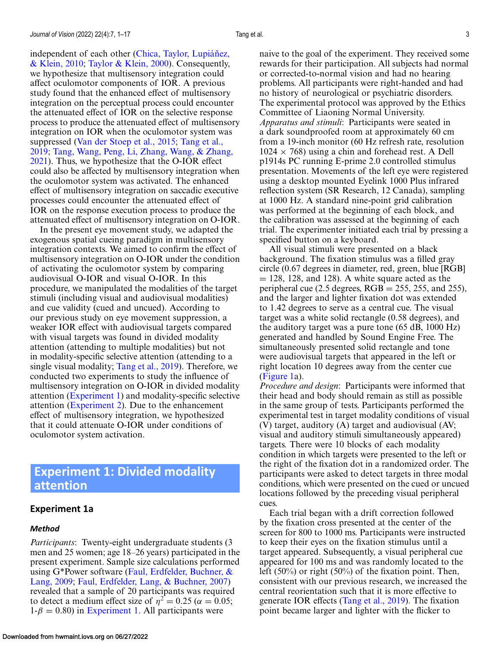<span id="page-2-0"></span>[independent of each other \(Chica, Taylor, Lupiáñez,](#page-13-0) & Klein, 2010; [Taylor & Klein, 2000\)](#page-16-0). Consequently, we hypothesize that multisensory integration could affect oculomotor components of IOR. A previous study found that the enhanced effect of multisensory integration on the perceptual process could encounter the attenuated effect of IOR on the selective response process to produce the attenuated effect of multisensory integration on IOR when the oculomotor system was suppressed [\(Van der Stoep et al., 2015;](#page-16-0) Tang et al., 2019; [Tang, Wang, Peng, Li, Zhang, Wang, & Zhan](#page-16-0)g, [2021\). Thus, we hypothesize that the O-IOR effect](#page-16-0) could also be affected by multisensory integration when the oculomotor system was activated. The enhanced effect of multisensory integration on saccadic executive processes could encounter the attenuated effect of IOR on the response execution process to produce the attenuated effect of multisensory integration on O-IOR.

In the present eye movement study, we adapted the exogenous spatial cueing paradigm in multisensory integration contexts. We aimed to confirm the effect of multisensory integration on O-IOR under the condition of activating the oculomotor system by comparing audiovisual O-IOR and visual O-IOR. In this procedure, we manipulated the modalities of the target stimuli (including visual and audiovisual modalities) and cue validity (cued and uncued). According to our previous study on eye movement suppression, a weaker IOR effect with audiovisual targets compared with visual targets was found in divided modality attention (attending to multiple modalities) but not in modality-specific selective attention (attending to a single visual modality; [Tang et al., 2019\)](#page-16-0). Therefore, we conducted two experiments to study the influence of multisensory integration on O-IOR in divided modality attention (Experiment 1) and modality-specific selective attention [\(Experiment 2\)](#page-8-0). Due to the enhancement effect of multisensory integration, we hypothesized that it could attenuate O-IOR under conditions of oculomotor system activation.

# **Experiment 1: Divided modality attention**

#### **Experiment 1a**

#### *Method*

*Participants*: Twenty-eight undergraduate students (3 men and 25 women; age 18–26 years) participated in the present experiment. Sample size calculations performed [using G\\*Power software \(Faul, Erdfelder, Buchner, &](#page-13-0) Lang, 2009; [Faul, Erdfelder, Lang, & Buchner, 2007\)](#page-13-0) revealed that a sample of 20 participants was required to detect a medium effect size of  $\eta^2 = 0.25$  ( $\alpha = 0.05$ ;  $1-\beta = 0.80$ ) in Experiment 1. All participants were

naive to the goal of the experiment. They received some rewards for their participation. All subjects had normal or corrected-to-normal vision and had no hearing problems. All participants were right-handed and had no history of neurological or psychiatric disorders. The experimental protocol was approved by the Ethics Committee of Liaoning Normal University. *Apparatus and stimuli*: Participants were seated in a dark soundproofed room at approximately 60 cm from a 19-inch monitor (60 Hz refresh rate, resolution  $1024 \times 768$ ) using a chin and forehead rest. A Dell p1914s PC running E-prime 2.0 controlled stimulus presentation. Movements of the left eye were registered using a desktop mounted Eyelink 1000 Plus infrared reflection system (SR Research, 12 Canada), sampling at 1000 Hz. A standard nine-point grid calibration was performed at the beginning of each block, and the calibration was assessed at the beginning of each trial. The experimenter initiated each trial by pressing a specified button on a keyboard.

All visual stimuli were presented on a black background. The fixation stimulus was a filled gray circle (0.67 degrees in diameter, red, green, blue [RGB]  $= 128$ , 128, and 128). A white square acted as the peripheral cue (2.5 degrees,  $RGB = 255$ , 255, and 255), and the larger and lighter fixation dot was extended to 1.42 degrees to serve as a central cue. The visual target was a white solid rectangle (0.58 degrees), and the auditory target was a pure tone (65 dB, 1000 Hz) generated and handled by Sound Engine Free. The simultaneously presented solid rectangle and tone were audiovisual targets that appeared in the left or right location 10 degrees away from the center cue [\(Figure 1a](#page-3-0)).

*Procedure and design*: Participants were informed that their head and body should remain as still as possible in the same group of tests. Participants performed the experimental test in target modality conditions of visual (V) target, auditory (A) target and audiovisual (AV; visual and auditory stimuli simultaneously appeared) targets. There were 10 blocks of each modality condition in which targets were presented to the left or the right of the fixation dot in a randomized order. The participants were asked to detect targets in three modal conditions, which were presented on the cued or uncued locations followed by the preceding visual peripheral cues.

Each trial began with a drift correction followed by the fixation cross presented at the center of the screen for 800 to 1000 ms. Participants were instructed to keep their eyes on the fixation stimulus until a target appeared. Subsequently, a visual peripheral cue appeared for 100 ms and was randomly located to the left (50%) or right (50%) of the fixation point. Then, consistent with our previous research, we increased the central reorientation such that it is more effective to generate IOR effects [\(Tang et al., 2019\)](#page-16-0). The fixation point became larger and lighter with the flicker to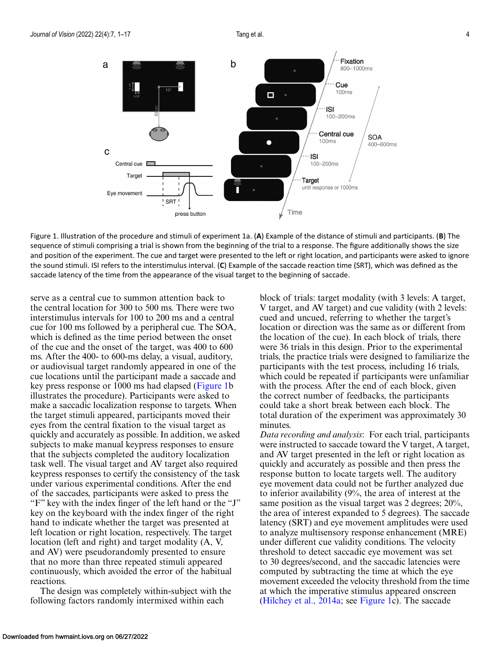<span id="page-3-0"></span>

Figure 1. Illustration of the procedure and stimuli of experiment 1a. (**A**) Example of the distance of stimuli and participants. (**B**) The sequence of stimuli comprising a trial is shown from the beginning of the trial to a response. The figure additionally shows the size and position of the experiment. The cue and target were presented to the left or right location, and participants were asked to ignore the sound stimuli. ISI refers to the interstimulus interval. (**C**) Example of the saccade reaction time (SRT), which was defined as the saccade latency of the time from the appearance of the visual target to the beginning of saccade.

serve as a central cue to summon attention back to the central location for 300 to 500 ms. There were two interstimulus intervals for 100 to 200 ms and a central cue for 100 ms followed by a peripheral cue. The SOA, which is defined as the time period between the onset of the cue and the onset of the target, was 400 to 600 ms. After the 400- to 600-ms delay, a visual, auditory, or audiovisual target randomly appeared in one of the cue locations until the participant made a saccade and key press response or 1000 ms had elapsed (Figure 1b illustrates the procedure). Participants were asked to make a saccadic localization response to targets. When the target stimuli appeared, participants moved their eyes from the central fixation to the visual target as quickly and accurately as possible. In addition, we asked subjects to make manual keypress responses to ensure that the subjects completed the auditory localization task well. The visual target and AV target also required keypress responses to certify the consistency of the task under various experimental conditions. After the end of the saccades, participants were asked to press the "F" key with the index finger of the left hand or the "J" key on the keyboard with the index finger of the right hand to indicate whether the target was presented at left location or right location, respectively. The target location (left and right) and target modality (A, V, and AV) were pseudorandomly presented to ensure that no more than three repeated stimuli appeared continuously, which avoided the error of the habitual reactions.

The design was completely within-subject with the following factors randomly intermixed within each

block of trials: target modality (with 3 levels: A target, V target, and AV target) and cue validity (with 2 levels: cued and uncued, referring to whether the target's location or direction was the same as or different from the location of the cue). In each block of trials, there were 36 trials in this design. Prior to the experimental trials, the practice trials were designed to familiarize the participants with the test process, including 16 trials, which could be repeated if participants were unfamiliar with the process. After the end of each block, given the correct number of feedbacks, the participants could take a short break between each block. The total duration of the experiment was approximately 30 minutes.

*Data recording and analysis*: For each trial, participants were instructed to saccade toward the V target, A target, and AV target presented in the left or right location as quickly and accurately as possible and then press the response button to locate targets well. The auditory eye movement data could not be further analyzed due to inferior availability (9%, the area of interest at the same position as the visual target was 2 degrees; 20%, the area of interest expanded to 5 degrees). The saccade latency (SRT) and eye movement amplitudes were used to analyze multisensory response enhancement (MRE) under different cue validity conditions. The velocity threshold to detect saccadic eye movement was set to 30 degrees/second, and the saccadic latencies were computed by subtracting the time at which the eye movement exceeded the velocity threshold from the time at which the imperative stimulus appeared onscreen [\(Hilchey et al., 2014a;](#page-13-0) see Figure 1c). The saccade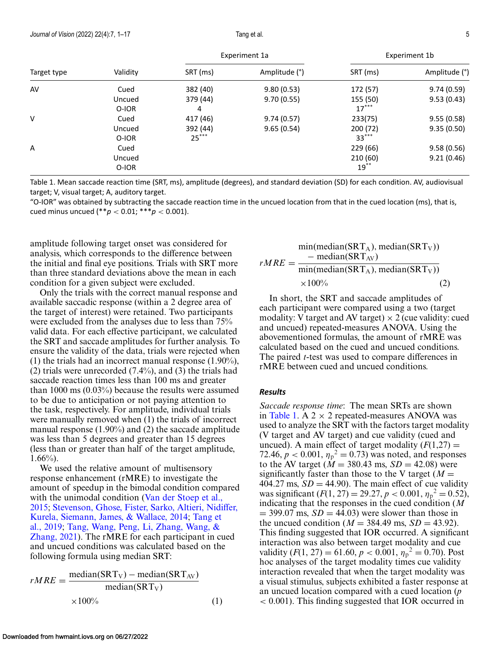| ٠ | I |
|---|---|

<span id="page-4-0"></span>

| Target type | Validity | Experiment 1a |               | Experiment 1b |               |
|-------------|----------|---------------|---------------|---------------|---------------|
|             |          | SRT (ms)      | Amplitude (°) | SRT (ms)      | Amplitude (°) |
| AV          | Cued     | 382 (40)      | 9.80(0.53)    | 172 (57)      | 9.74(0.59)    |
|             | Uncued   | 379 (44)      | 9.70(0.55)    | 155 (50)      | 9.53(0.43)    |
|             | O-IOR    | 4             |               | $17***$       |               |
| ٧           | Cued     | 417 (46)      | 9.74(0.57)    | 233(75)       | 9.55(0.58)    |
|             | Uncued   | 392 (44)      | 9.65(0.54)    | 200 (72)      | 9.35(0.50)    |
|             | O-IOR    | $25***$       |               | $33***$       |               |
| A           | Cued     |               |               | 229 (66)      | 9.58(0.56)    |
|             | Uncued   |               |               | 210 (60)      | 9.21(0.46)    |
|             | O-IOR    |               |               | $19***$       |               |

Table 1. Mean saccade reaction time (SRT, ms), amplitude (degrees), and standard deviation (SD) for each condition. AV, audiovisual target; V, visual target; A, auditory target.

"O-IOR" was obtained by subtracting the saccade reaction time in the uncued location from that in the cued location (ms), that is, cued minus uncued (\*\**p* < 0.01; \*\*\**p* < 0.001).

amplitude following target onset was considered for analysis, which corresponds to the difference between the initial and final eye positions. Trials with SRT more than three standard deviations above the mean in each condition for a given subject were excluded.

Only the trials with the correct manual response and available saccadic response (within a 2 degree area of the target of interest) were retained. Two participants were excluded from the analyses due to less than 75% valid data. For each effective participant, we calculated the SRT and saccade amplitudes for further analysis. To ensure the validity of the data, trials were rejected when (1) the trials had an incorrect manual response (1.90%), (2) trials were unrecorded (7.4%), and (3) the trials had saccade reaction times less than 100 ms and greater than 1000 ms (0.03%) because the results were assumed to be due to anticipation or not paying attention to the task, respectively. For amplitude, individual trials were manually removed when (1) the trials of incorrect manual response (1.90%) and (2) the saccade amplitude was less than 5 degrees and greater than 15 degrees (less than or greater than half of the target amplitude,  $1.66\%$ ).

We used the relative amount of multisensory response enhancement (rMRE) to investigate the amount of speedup in the bimodal condition compared [with the unimodal condition \(Van der Stoep et al.,](#page-16-0) 2015; [Stevenson, Ghose, Fister, Sarko, Altieri, Nidiffer,](#page-15-0) [Kurela, Siemann, James, & Wallace, 2014;](#page-16-0) Tang et al., 2019; Tang, Wang, Peng, Li, Zhang, Wang, & [Zhang, 2021\). The rMRE for each participant in cu](#page-16-0)ed and uncued conditions was calculated based on the following formula using median SRT:

$$
rMRE = \frac{\text{median(SRT}_V) - \text{median(SRT}_{AV})}{\text{median(SRT}_V)}
$$
  
×100% (1)

$$
rMRE = \frac{\text{min}(\text{median}(\text{SRT}_A), \text{median}(\text{SRT}_V))}{\text{min}(\text{median}(\text{SRT}_A), \text{median}(\text{SRT}_V))}
$$
  
×100% (2)

In short, the SRT and saccade amplitudes of each participant were compared using a two (target modality: V target and AV target)  $\times$  2 (cue validity: cued and uncued) repeated-measures ANOVA. Using the abovementioned formulas, the amount of rMRE was calculated based on the cued and uncued conditions. The paired *t-*test was used to compare differences in rMRE between cued and uncued conditions.

#### *Results*

*Saccade response time*: The mean SRTs are shown in Table 1. A  $2 \times 2$  repeated-measures ANOVA was used to analyze the SRT with the factors target modality (V target and AV target) and cue validity (cued and uncued). A main effect of target modality  $(F(1,27)) =$ 72.46,  $p < 0.001$ ,  $\eta_p^2 = 0.73$ ) was noted, and responses to the AV target ( $\dot{M} = 380.43$  ms,  $SD = 42.08$ ) were significantly faster than those to the V target  $(M =$ 404.27 ms,  $SD = 44.90$ ). The main effect of cue validity was significant  $(F(1, 27)) = 29.27, p < 0.001, \eta_p^2 = 0.52$ , indicating that the responses in the cued condition (*M*  $=$  399.07 ms,  $SD = 44.03$ ) were slower than those in the uncued condition ( $M = 384.49$  ms,  $SD = 43.92$ ). This finding suggested that IOR occurred. A significant interaction was also between target modality and cue validity  $(F(1, 27) = 61.60, p < 0.001, \eta_p^2 = 0.70)$ . Post hoc analyses of the target modality times cue validity interaction revealed that when the target modality was a visual stimulus, subjects exhibited a faster response at an uncued location compared with a cued location (*p* < 0.001). This finding suggested that IOR occurred in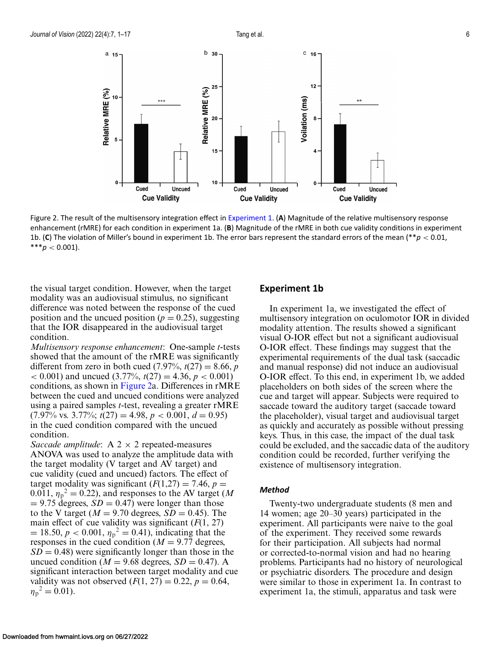<span id="page-5-0"></span>

Figure 2. The result of the multisensory integration effect in [Experiment 1.](#page-2-0) (**A**) Magnitude of the relative multisensory response enhancement (rMRE) for each condition in experiment 1a. (**B**) Magnitude of the rMRE in both cue validity conditions in experiment 1b. (**C**) The violation of Miller's bound in experiment 1b. The error bars represent the standard errors of the mean (\*\**p* < 0.01,  $***p<0.001$ ).

the visual target condition. However, when the target modality was an audiovisual stimulus, no significant difference was noted between the response of the cued position and the uncued position ( $p = 0.25$ ), suggesting that the IOR disappeared in the audiovisual target condition.

*Multisensory response enhancement*: One-sample *t-*tests showed that the amount of the rMRE was significantly different from zero in both cued  $(7.97\%, t(27) = 8.66, p$  $(3.77\%, t(27) = 4.36, p < 0.001)$ conditions, as shown in Figure 2a. Differences in rMRE between the cued and uncued conditions were analyzed using a paired samples *t-*test, revealing a greater rMRE  $(7.97\% \text{ vs. } 3.77\%; t(27) = 4.98, p < 0.001, d = 0.95)$ in the cued condition compared with the uncued condition.

*Saccade amplitude*: A  $2 \times 2$  repeated-measures ANOVA was used to analyze the amplitude data with the target modality (V target and AV target) and cue validity (cued and uncued) factors. The effect of target modality was significant  $(F(1,27) = 7.46, p =$  $(0.011, \eta_p^2 = 0.22)$ , and responses to the AV target (*M*  $= 9.75$  degrees,  $SD = 0.47$  were longer than those to the V target ( $M = 9.70$  degrees,  $SD = 0.45$ ). The main effect of cue validity was significant (*F*(1, 27)  $= 18.50, p < 0.001, \eta_p^2 = 0.41$ , indicating that the responses in the cued condition ( $M = 9.77$  degrees,  $SD = 0.48$ ) were significantly longer than those in the uncued condition ( $M = 9.68$  degrees,  $SD = 0.47$ ). A significant interaction between target modality and cue validity was not observed  $(F(1, 27) = 0.22, p = 0.64,$  $\eta_{\rm p}{}^2 = 0.01$ ).

#### **Experiment 1b**

In experiment 1a, we investigated the effect of multisensory integration on oculomotor IOR in divided modality attention. The results showed a significant visual O-IOR effect but not a significant audiovisual O-IOR effect. These findings may suggest that the experimental requirements of the dual task (saccadic and manual response) did not induce an audiovisual O-IOR effect. To this end, in experiment 1b, we added placeholders on both sides of the screen where the cue and target will appear. Subjects were required to saccade toward the auditory target (saccade toward the placeholder), visual target and audiovisual target as quickly and accurately as possible without pressing keys. Thus, in this case, the impact of the dual task could be excluded, and the saccadic data of the auditory condition could be recorded, further verifying the existence of multisensory integration.

#### *Method*

Twenty-two undergraduate students (8 men and 14 women; age 20–30 years) participated in the experiment. All participants were naive to the goal of the experiment. They received some rewards for their participation. All subjects had normal or corrected-to-normal vision and had no hearing problems. Participants had no history of neurological or psychiatric disorders. The procedure and design were similar to those in experiment 1a. In contrast to experiment 1a, the stimuli, apparatus and task were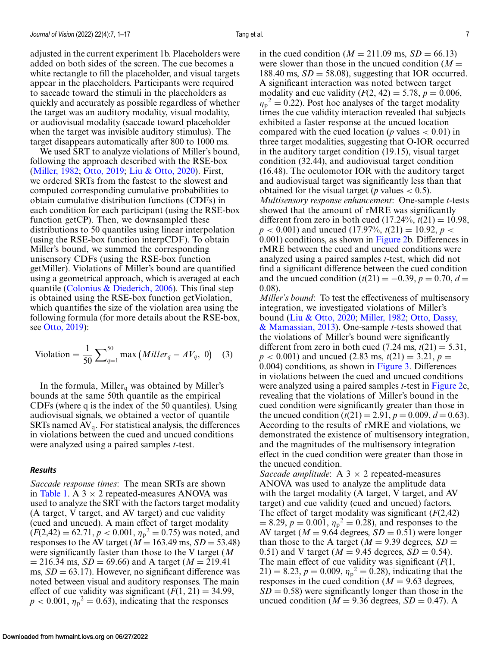adjusted in the current experiment 1b. Placeholders were added on both sides of the screen. The cue becomes a white rectangle to fill the placeholder, and visual targets appear in the placeholders. Participants were required to saccade toward the stimuli in the placeholders as quickly and accurately as possible regardless of whether the target was an auditory modality, visual modality, or audiovisual modality (saccade toward placeholder when the target was invisible auditory stimulus). The target disappears automatically after 800 to 1000 ms.

We used SRT to analyze violations of Miller's bound, following the approach described with the RSE-box [\(Miller, 1982;](#page-14-0) [Otto, 2019;](#page-15-0) [Liu & Otto, 2020\)](#page-14-0). First, we ordered SRTs from the fastest to the slowest and computed corresponding cumulative probabilities to obtain cumulative distribution functions (CDFs) in each condition for each participant (using the RSE-box function getCP). Then, we downsampled these distributions to 50 quantiles using linear interpolation (using the RSE-box function interpCDF). To obtain Miller's bound, we summed the corresponding unisensory CDFs (using the RSE-box function getMiller). Violations of Miller's bound are quantified using a geometrical approach, which is averaged at each quantile [\(Colonius & Diederich, 2006\)](#page-13-0). This final step is obtained using the RSE-box function getViolation, which quantifies the size of the violation area using the following formula (for more details about the RSE-box, see [Otto, 2019\)](#page-15-0):

$$
\text{Violation} = \frac{1}{50} \sum_{q=1}^{50} \max \left( Miller_q - AV_q, 0 \right) \tag{3}
$$

In the formula, Miller<sub>q</sub> was obtained by Miller's bounds at the same 50th quantile as the empirical CDFs (where q is the index of the 50 quantiles). Using audiovisual signals, we obtained a vector of quantile SRTs named  $AV_q$ . For statistical analysis, the differences in violations between the cued and uncued conditions were analyzed using a paired samples *t-*test.

#### *Results*

*Saccade response times*: The mean SRTs are shown in [Table 1.](#page-4-0) A  $3 \times 2$  repeated-measures ANOVA was used to analyze the SRT with the factors target modality (A target, V target, and AV target) and cue validity (cued and uncued). A main effect of target modality  $(F(2,42) = 62.71, p < 0.001, \eta_p^2 = 0.75)$  was noted, and responses to the AV target ( $M = 163.49$  ms,  $SD = 53.48$ ) were significantly faster than those to the V target (*M*  $= 216.34$  ms,  $SD = 69.66$ ) and A target ( $M = 219.41$ ) ms,  $SD = 63.17$ ). However, no significant difference was noted between visual and auditory responses. The main effect of cue validity was significant  $(F(1, 21) = 34.99$ ,  $p < 0.001$ ,  $\eta_p^2 = 0.63$ ), indicating that the responses

in the cued condition ( $M = 211.09$  ms,  $SD = 66.13$ ) were slower than those in the uncued condition  $(M =$ 188.40 ms,  $SD = 58.08$ ), suggesting that IOR occurred. A significant interaction was noted between target modality and cue validity  $(F(2, 42) = 5.78, p = 0.006,$  $\eta_p^2 = 0.22$ ). Post hoc analyses of the target modality times the cue validity interaction revealed that subjects exhibited a faster response at the uncued location compared with the cued location ( $p$  values  $< 0.01$ ) in three target modalities, suggesting that O-IOR occurred in the auditory target condition (19.15), visual target condition (32.44), and audiovisual target condition (16.48). The oculomotor IOR with the auditory target and audiovisual target was significantly less than that obtained for the visual target (*p* values  $< 0.5$ ). *Multisensory response enhancement*: One-sample *t-*tests showed that the amount of rMRE was significantly different from zero in both cued  $(17.24\%, t(21) = 10.98,$  $p < 0.001$ ) and uncued (17.97%,  $t(21) = 10.92$ ,  $p <$ 0.001) conditions, as shown in [Figure 2b](#page-5-0). Differences in rMRE between the cued and uncued conditions were analyzed using a paired samples *t-*test, which did not find a significant difference between the cued condition and the uncued condition  $(t(21) = -0.39, p = 0.70, d =$ 0.08).

*Miller's bound*: To test the effectiveness of multisensory integration, we investigated violations of Miller's bound [\(Liu & Otto, 2020;](#page-14-0) [Miller, 1982;](#page-14-0) Otto, Dassy, [& Mamassian, 2013\). One-sample](#page-15-0) *t-*tests showed that the violations of Miller's bound were significantly different from zero in both cued  $(7.24 \text{ ms}, t(21) = 5.31,$  $p < 0.001$ ) and uncued (2.83 ms,  $t(21) = 3.21$ ,  $p =$ 0.004) conditions, as shown in [Figure 3.](#page-7-0) Differences in violations between the cued and uncued conditions were analyzed using a paired samples *t-*test in [Figure 2c](#page-5-0), revealing that the violations of Miller's bound in the cued condition were significantly greater than those in the uncued condition  $(t(21) = 2.91, p = 0.009, d = 0.63)$ . According to the results of rMRE and violations, we demonstrated the existence of multisensory integration, and the magnitudes of the multisensory integration effect in the cued condition were greater than those in the uncued condition.

*Saccade amplitude*: A  $3 \times 2$  repeated-measures ANOVA was used to analyze the amplitude data with the target modality (A target, V target, and AV target) and cue validity (cued and uncued) factors. The effect of target modality was significant  $(F(2, 42))$  $= 8.29, p = 0.001, \eta_p^2 = 0.28$ , and responses to the AV target ( $M = 9.64$  degrees,  $SD = 0.51$ ) were longer than those to the A target ( $M = 9.39$  degrees,  $SD =$ 0.51) and V target ( $M = 9.45$  degrees,  $SD = 0.54$ ). The main effect of cue validity was significant (*F*(1, 21) = 8.23,  $p = 0.009$ ,  $\eta_p^2 = 0.28$ ), indicating that the responses in the cued condition  $(M = 9.63$  degrees,  $SD = 0.58$ ) were significantly longer than those in the uncued condition ( $M = 9.36$  degrees,  $SD = 0.47$ ). A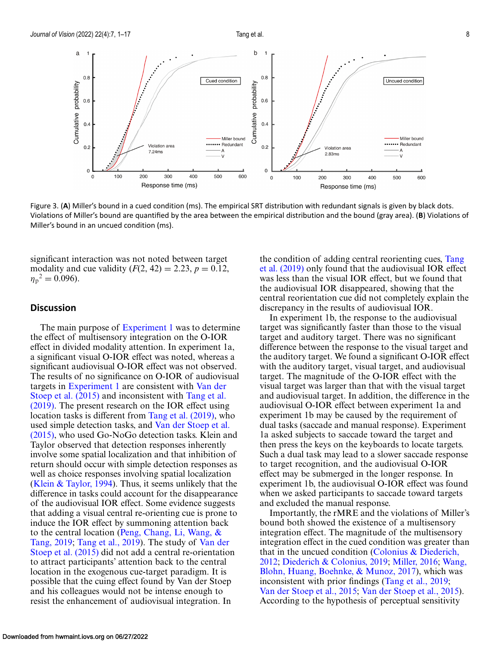<span id="page-7-0"></span>

Figure 3. (**A**) Miller's bound in a cued condition (ms). The empirical SRT distribution with redundant signals is given by black dots. Violations of Miller's bound are quantified by the area between the empirical distribution and the bound (gray area). (**B**) Violations of Miller's bound in an uncued condition (ms).

significant interaction was not noted between target modality and cue validity  $(F(2, 42) = 2.23, p = 0.12,$  $\eta_p^2 = 0.096$ ).

#### **Discussion**

The main purpose of [Experiment 1](#page-2-0) was to determine the effect of multisensory integration on the O-IOR effect in divided modality attention. In experiment 1a, a significant visual O-IOR effect was noted, whereas a significant audiovisual O-IOR effect was not observed. The results of no significance on O-IOR of audiovisual targets in [Experiment 1](#page-2-0) are consistent with Van der Stoep et al. (2015) [and inconsistent with](#page-16-0) Tang et al. [\(2019\). The present research on the IOR effect using](#page-16-0) location tasks is different from [Tang et al. \(2019\),](#page-16-0) who used simple detection tasks, and Van der Stoep et al. [\(2015\), who used Go-NoGo detection tasks. Klein an](#page-16-0)d Taylor observed that detection responses inherently involve some spatial localization and that inhibition of return should occur with simple detection responses as well as choice responses involving spatial localization [\(Klein & Taylor, 1994\)](#page-14-0). Thus, it seems unlikely that the difference in tasks could account for the disappearance of the audiovisual IOR effect. Some evidence suggests that adding a visual central re-orienting cue is prone to induce the IOR effect by summoning attention back [to the central location \(Peng, Chang, Li, Wang, &](#page-15-0) Tang, 2019; [Tang et al., 2019\)](#page-16-0). The study of Van der Stoep et al. (2015) [did not add a central re-orientation](#page-16-0) to attract participants' attention back to the central location in the exogenous cue-target paradigm. It is possible that the cuing effect found by Van der Stoep and his colleagues would not be intense enough to resist the enhancement of audiovisual integration. In

[the condition of adding central reorienting cues,](#page-16-0) Tang et al. (2019) only found that the audiovisual IOR effect was less than the visual IOR effect, but we found that the audiovisual IOR disappeared, showing that the central reorientation cue did not completely explain the discrepancy in the results of audiovisual IOR.

In experiment 1b, the response to the audiovisual target was significantly faster than those to the visual target and auditory target. There was no significant difference between the response to the visual target and the auditory target. We found a significant O-IOR effect with the auditory target, visual target, and audiovisual target. The magnitude of the O-IOR effect with the visual target was larger than that with the visual target and audiovisual target. In addition, the difference in the audiovisual O-IOR effect between experiment 1a and experiment 1b may be caused by the requirement of dual tasks (saccade and manual response). Experiment 1a asked subjects to saccade toward the target and then press the keys on the keyboards to locate targets. Such a dual task may lead to a slower saccade response to target recognition, and the audiovisual O-IOR effect may be submerged in the longer response. In experiment 1b, the audiovisual O-IOR effect was found when we asked participants to saccade toward targets and excluded the manual response.

Importantly, the rMRE and the violations of Miller's bound both showed the existence of a multisensory integration effect. The magnitude of the multisensory integration effect in the cued condition was greater than [that in the uncued condition \(Colonius & Diederich,](#page-13-0) 2012; [Diederich & Colonius, 2019;](#page-13-0) [Miller, 2016;](#page-14-0) Wang, [Blohn, Huang, Boehnke, & Munoz, 2017\), which was](#page-16-0) inconsistent with prior findings [\(Tang et al., 2019;](#page-16-0) [Van der Stoep et al., 2015;](#page-16-0) [Van der Stoep et al., 2015\)](#page-16-0). According to the hypothesis of perceptual sensitivity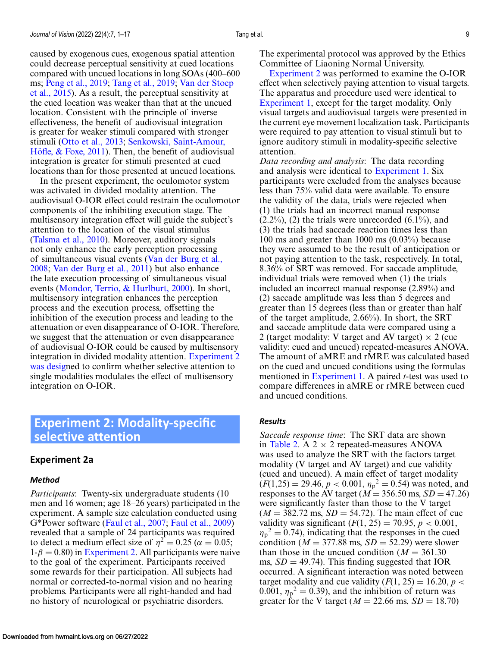<span id="page-8-0"></span>caused by exogenous cues, exogenous spatial attention could decrease perceptual sensitivity at cued locations compared with uncued locations in long SOAs (400–600 ms; [Peng et al., 2019;](#page-15-0) [Tang et al., 2019;](#page-16-0) Van der Stoep [et al., 2015\). As a result, the perceptual sensitivity at](#page-16-0) the cued location was weaker than that at the uncued location. Consistent with the principle of inverse effectiveness, the benefit of audiovisual integration is greater for weaker stimuli compared with stronger stimuli [\(Otto et al., 2013;](#page-15-0) Senkowski, Saint-Amour, [Höfle, & Foxe, 2011\). Then, the benefit of audiovisu](#page-15-0)al integration is greater for stimuli presented at cued locations than for those presented at uncued locations.

In the present experiment, the oculomotor system was activated in divided modality attention. The audiovisual O-IOR effect could restrain the oculomotor components of the inhibiting execution stage. The multisensory integration effect will guide the subject's attention to the location of the visual stimulus [\(Talsma et al., 2010\)](#page-16-0). Moreover, auditory signals not only enhance the early perception processing [of simultaneous visual events \(Van der Burg et al.,](#page-16-0) 2008; [Van der Burg et al., 2011\)](#page-16-0) but also enhance the late execution processing of simultaneous visual events [\(Mondor, Terrio, & Hurlburt, 2000\)](#page-15-0). In short, multisensory integration enhances the perception process and the execution process, offsetting the inhibition of the execution process and leading to the attenuation or even disappearance of O-IOR. Therefore, we suggest that the attenuation or even disappearance of audiovisual O-IOR could be caused by multisensory integration in divided modality attention. Experiment 2 was designed to confirm whether selective attention to single modalities modulates the effect of multisensory integration on O-IOR.

# **Experiment 2: Modality-specific selective attention**

#### **Experiment 2a**

#### *Method*

*Participants*: Twenty-six undergraduate students (10 men and 16 women; age 18–26 years) participated in the experiment. A sample size calculation conducted using G\*Power software [\(Faul et al., 2007;](#page-13-0) [Faul et al., 2009\)](#page-13-0) revealed that a sample of 24 participants was required to detect a medium effect size of  $\eta^2 = 0.25$  ( $\alpha = 0.05$ ;  $1-\beta = 0.80$ ) in Experiment 2. All participants were naive to the goal of the experiment. Participants received some rewards for their participation. All subjects had normal or corrected-to-normal vision and no hearing problems. Participants were all right-handed and had no history of neurological or psychiatric disorders.

The experimental protocol was approved by the Ethics Committee of Liaoning Normal University.

Experiment 2 was performed to examine the O-IOR effect when selectively paying attention to visual targets. The apparatus and procedure used were identical to [Experiment 1,](#page-2-0) except for the target modality. Only visual targets and audiovisual targets were presented in the current eye movement localization task. Participants were required to pay attention to visual stimuli but to ignore auditory stimuli in modality-specific selective attention.

*Data recording and analysis*: The data recording and analysis were identical to [Experiment 1.](#page-2-0) Six participants were excluded from the analyses because less than 75% valid data were available. To ensure the validity of the data, trials were rejected when (1) the trials had an incorrect manual response  $(2.2\%)$ ,  $(2)$  the trials were unrecorded  $(6.1\%)$ , and (3) the trials had saccade reaction times less than 100 ms and greater than 1000 ms (0.03%) because they were assumed to be the result of anticipation or not paying attention to the task, respectively. In total, 8.36% of SRT was removed. For saccade amplitude, individual trials were removed when (1) the trials included an incorrect manual response (2.89%) and (2) saccade amplitude was less than 5 degrees and greater than 15 degrees (less than or greater than half of the target amplitude, 2.66%). In short, the SRT and saccade amplitude data were compared using a 2 (target modality: V target and AV target)  $\times$  2 (cue validity: cued and uncued) repeated-measures ANOVA. The amount of aMRE and rMRE was calculated based on the cued and uncued conditions using the formulas mentioned in [Experiment 1.](#page-2-0) A paired *t*-test was used to compare differences in aMRE or rMRE between cued and uncued conditions.

#### *Results*

*Saccade response time*: The SRT data are shown in [Table 2.](#page-9-0) A  $2 \times 2$  repeated-measures ANOVA was used to analyze the SRT with the factors target modality (V target and AV target) and cue validity (cued and uncued). A main effect of target modality  $(F(1,25) = 29.46, p < 0.001, \eta_p^2 = 0.54)$  was noted, and responses to the AV target ( $M = 356.50$  ms,  $SD = 47.26$ ) were significantly faster than those to the V target  $(M = 382.72 \text{ ms}, SD = 54.72)$ . The main effect of cue validity was significant  $(F(1, 25) = 70.95, p < 0.001,$  $\eta_p^2 = 0.74$ , indicating that the responses in the cued condition ( $M = 377.88$  ms,  $SD = 52.29$ ) were slower than those in the uncued condition  $(M = 361.30)$ ms,  $SD = 49.74$ ). This finding suggested that IOR occurred. A significant interaction was noted between target modality and cue validity  $(F(1, 25) = 16.20, p <$ 0.001,  $\eta_p^2 = 0.39$ ), and the inhibition of return was greater for the V target ( $M = 22.66$  ms,  $SD = 18.70$ )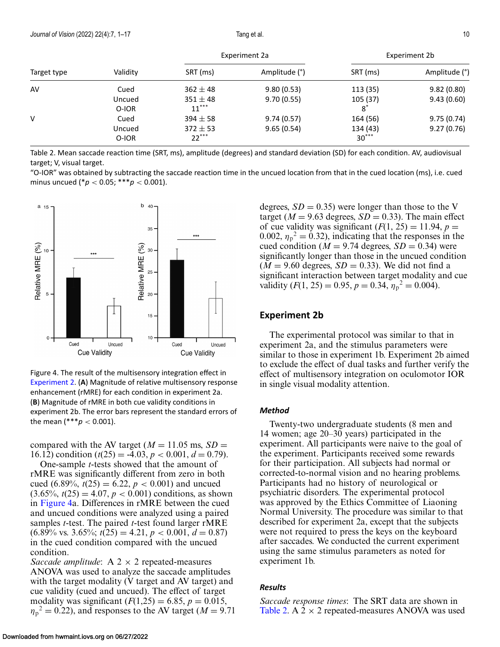<span id="page-9-0"></span>

| Target type | Validity | Experiment 2a |               | Experiment 2b |               |
|-------------|----------|---------------|---------------|---------------|---------------|
|             |          | SRT (ms)      | Amplitude (°) | SRT (ms)      | Amplitude (°) |
| AV          | Cued     | $362 \pm 48$  | 9.80(0.53)    | 113 (35)      | 9.82(0.80)    |
|             | Uncued   | $351 \pm 48$  | 9.70(0.55)    | 105 (37)      | 9.43(0.60)    |
|             | O-IOR    | $11***$       |               | $8^{\degree}$ |               |
|             | Cued     | $394 \pm 58$  | 9.74(0.57)    | 164 (56)      | 9.75(0.74)    |
|             | Uncued   | $372 \pm 53$  | 9.65(0.54)    | 134 (43)      | 9.27(0.76)    |
|             | O-IOR    | $22***$       |               | $30***$       |               |

Table 2. Mean saccade reaction time (SRT, ms), amplitude (degrees) and standard deviation (SD) for each condition. AV, audiovisual target; V, visual target.

"O-IOR" was obtained by subtracting the saccade reaction time in the uncued location from that in the cued location (ms), i.e. cued minus uncued (\**p* < 0.05; \*\*\**p* < 0.001).



Figure 4. The result of the multisensory integration effect in [Experiment 2.](#page-8-0) (**A**) Magnitude of relative multisensory response enhancement (rMRE) for each condition in experiment 2a. (**B**) Magnitude of rMRE in both cue validity conditions in experiment 2b. The error bars represent the standard errors of the mean  $(***p < 0.001)$ .

compared with the AV target ( $M = 11.05$  ms,  $SD =$ 16.12) condition  $(t(25) = -4.03, p < 0.001, d = 0.79)$ .

One-sample *t-*tests showed that the amount of rMRE was significantly different from zero in both cued (6.89%,  $t(25) = 6.22$ ,  $p < 0.001$ ) and uncued  $(3.65\%, t(25) = 4.07, p < 0.001)$  conditions, as shown in Figure 4a. Differences in rMRE between the cued and uncued conditions were analyzed using a paired samples *t-*test. The paired *t-*test found larger rMRE  $(6.89\% \text{ vs. } 3.65\%; t(25) = 4.21, p < 0.001, d = 0.87)$ in the cued condition compared with the uncued condition.

*Saccade amplitude*:  $A$  2  $\times$  2 repeated-measures ANOVA was used to analyze the saccade amplitudes with the target modality (V target and AV target) and cue validity (cued and uncued). The effect of target modality was significant  $(F(1,25) = 6.85, p = 0.015,$  $\eta_p^2 = 0.22$ ), and responses to the AV target ( $M = 9.71$  degrees,  $SD = 0.35$ ) were longer than those to the V target ( $M = 9.63$  degrees,  $SD = 0.33$ ). The main effect of cue validity was significant  $(F(1, 25) = 11.94, p =$ 0.002,  $\eta_p^2 = 0.32$ ), indicating that the responses in the cued condition ( $M = 9.74$  degrees,  $SD = 0.34$ ) were significantly longer than those in the uncued condition  $(M = 9.60$  degrees,  $SD = 0.33$ ). We did not find a significant interaction between target modality and cue validity  $(F(1, 25) = 0.95, p = 0.34, \eta_p^2 = 0.004)$ .

#### **Experiment 2b**

The experimental protocol was similar to that in experiment 2a, and the stimulus parameters were similar to those in experiment 1b. Experiment 2b aimed to exclude the effect of dual tasks and further verify the effect of multisensory integration on oculomotor IOR in single visual modality attention.

#### *Method*

Twenty-two undergraduate students (8 men and 14 women; age 20–30 years) participated in the experiment. All participants were naive to the goal of the experiment. Participants received some rewards for their participation. All subjects had normal or corrected-to-normal vision and no hearing problems. Participants had no history of neurological or psychiatric disorders. The experimental protocol was approved by the Ethics Committee of Liaoning Normal University. The procedure was similar to that described for experiment 2a, except that the subjects were not required to press the keys on the keyboard after saccades. We conducted the current experiment using the same stimulus parameters as noted for experiment 1b.

#### *Results*

*Saccade response times*: The SRT data are shown in Table 2. A  $2 \times 2$  repeated-measures ANOVA was used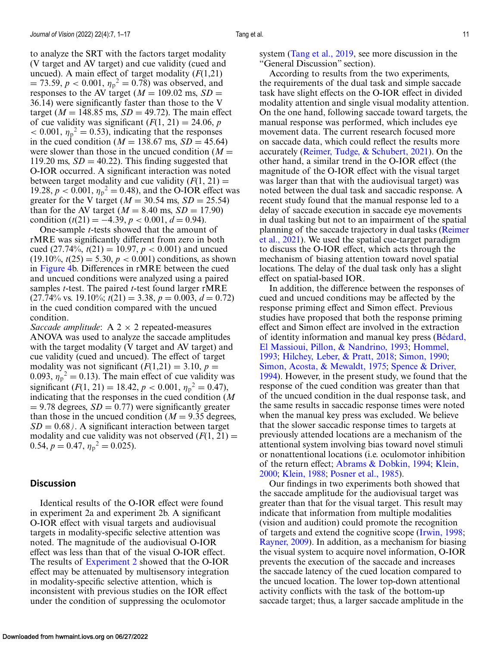to analyze the SRT with the factors target modality (V target and AV target) and cue validity (cued and uncued). A main effect of target modality (*F*(1,21)  $= 73.59, p < 0.001, \eta_p^2 = 0.78$ ) was observed, and responses to the AV target ( $M = 109.02$  ms,  $SD =$ 36.14) were significantly faster than those to the V target ( $M = 148.85$  ms,  $SD = 49.72$ ). The main effect of cue validity was significant  $(F(1, 21) = 24.06, p$  $\langle 0.001, \eta_p^2 \rangle = 0.53$ , indicating that the responses in the cued condition ( $M = 138.67$  ms,  $SD = 45.64$ ) were slower than those in the uncued condition  $(M =$ 119.20 ms,  $SD = 40.22$ ). This finding suggested that O-IOR occurred. A significant interaction was noted between target modality and cue validity  $(F(1, 21)) =$ 19.28,  $p < 0.001$ ,  $\eta_p^2 = 0.48$ ), and the O-IOR effect was greater for the V target ( $M = 30.54$  ms,  $SD = 25.54$ ) than for the AV target ( $M = 8.40$  ms,  $SD = 17.90$ ) condition  $(t(21) = -4.39, p < 0.001, d = 0.94)$ .

One-sample *t-*tests showed that the amount of rMRE was significantly different from zero in both cued  $(27.74\%, t(21) = 10.97, p < 0.001)$  and uncued  $(19.10\%, t(25) = 5.30, p < 0.001)$  conditions, as shown in [Figure 4b](#page-9-0). Differences in rMRE between the cued and uncued conditions were analyzed using a paired samples *t-*test. The paired *t-*test found larger rMRE  $(27.74\% \text{ vs. } 19.10\%; t(21) = 3.38, p = 0.003, d = 0.72)$ in the cued condition compared with the uncued condition.

*Saccade amplitude*:  $A$  2  $\times$  2 repeated-measures ANOVA was used to analyze the saccade amplitudes with the target modality (V target and AV target) and cue validity (cued and uncued). The effect of target modality was not significant  $(F(1,21) = 3.10, p =$ 0.093,  $\eta_p^2 = 0.13$ ). The main effect of cue validity was significant  $(F(1, 21) = 18.42, p < 0.001, \eta_p^2 = 0.47)$ , indicating that the responses in the cued condition (*M*  $= 9.78$  degrees,  $SD = 0.77$ ) were significantly greater than those in the uncued condition  $(M = 9.35$  degrees,  $SD = 0.68$ ). A significant interaction between target modality and cue validity was not observed  $(F(1, 21)) =$ 0.54,  $p = 0.47$ ,  $\eta_p^2 = 0.025$ ).

#### **Discussion**

Identical results of the O-IOR effect were found in experiment 2a and experiment 2b. A significant O-IOR effect with visual targets and audiovisual targets in modality-specific selective attention was noted. The magnitude of the audiovisual O-IOR effect was less than that of the visual O-IOR effect. The results of [Experiment 2](#page-8-0) showed that the O-IOR effect may be attenuated by multisensory integration in modality-specific selective attention, which is inconsistent with previous studies on the IOR effect under the condition of suppressing the oculomotor

system [\(Tang et al., 2019,](#page-16-0) see more discussion in the "General Discussion" section).

According to results from the two experiments, the requirements of the dual task and simple saccade task have slight effects on the O-IOR effect in divided modality attention and single visual modality attention. On the one hand, following saccade toward targets, the manual response was performed, which includes eye movement data. The current research focused more on saccade data, which could reflect the results more accurately [\(Reimer, Tudge, & Schubert, 2021\)](#page-15-0). On the other hand, a similar trend in the O-IOR effect (the magnitude of the O-IOR effect with the visual target was larger than that with the audiovisual target) was noted between the dual task and saccadic response. A recent study found that the manual response led to a delay of saccade execution in saccade eye movements in dual tasking but not to an impairment of the spatial [planning of the saccade trajectory in dual tasks \(Reimer](#page-15-0) et al., 2021). We used the spatial cue-target paradigm to discuss the O-IOR effect, which acts through the mechanism of biasing attention toward novel spatial locations. The delay of the dual task only has a slight effect on spatial-based IOR.

In addition, the difference between the responses of cued and uncued conditions may be affected by the response priming effect and Simon effect. Previous studies have proposed that both the response priming effect and Simon effect are involved in the extraction [of identity information and manual key press \(Bédard,](#page-13-0) [El Massioui, Pillon, & Nandrino, 1993;](#page-14-0) Hommel, 1993; [Hilchey, Leber, & Pratt, 2018;](#page-14-0) [Simon, 1990;](#page-15-0) [Simon, Acosta, & Mewaldt, 1975;](#page-15-0) Spence & Driver, [1994\). However, in the present study, we found that t](#page-15-0)he response of the cued condition was greater than that of the uncued condition in the dual response task, and the same results in saccadic response times were noted when the manual key press was excluded. We believe that the slower saccadic response times to targets at previously attended locations are a mechanism of the attentional system involving bias toward novel stimuli or nonattentional locations (i.e. oculomotor inhibition of the return effect; [Abrams & Dobkin, 1994](#page-13-0)[;](#page-14-0) Klein, 2000; [Klein, 1988;](#page-14-0) [Posner et al., 1985\)](#page-15-0).

Our findings in two experiments both showed that the saccade amplitude for the audiovisual target was greater than that for the visual target. This result may indicate that information from multiple modalities (vision and audition) could promote the recognition of targets and extend the cognitive scope [\(Irwin, 1998;](#page-14-0) [Rayner, 2009\)](#page-15-0). In addition, as a mechanism for biasing the visual system to acquire novel information, O-IOR prevents the execution of the saccade and increases the saccade latency of the cued location compared to the uncued location. The lower top-down attentional activity conflicts with the task of the bottom-up saccade target; thus, a larger saccade amplitude in the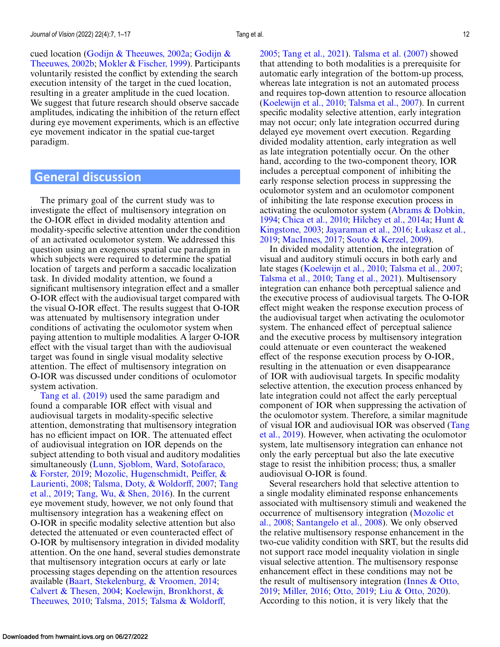[cued location \(Godijn & Theeuwes, 2002a;](#page-13-0) Godijn & Theeuwes, 2002b; [Mokler & Fischer, 1999\)](#page-14-0). Participants voluntarily resisted the conflict by extending the search execution intensity of the target in the cued location, resulting in a greater amplitude in the cued location. We suggest that future research should observe saccade amplitudes, indicating the inhibition of the return effect during eye movement experiments, which is an effective eye movement indicator in the spatial cue-target paradigm.

### **General discussion**

The primary goal of the current study was to investigate the effect of multisensory integration on the O-IOR effect in divided modality attention and modality-specific selective attention under the condition of an activated oculomotor system. We addressed this question using an exogenous spatial cue paradigm in which subjects were required to determine the spatial location of targets and perform a saccadic localization task. In divided modality attention, we found a significant multisensory integration effect and a smaller O-IOR effect with the audiovisual target compared with the visual O-IOR effect. The results suggest that O-IOR was attenuated by multisensory integration under conditions of activating the oculomotor system when paying attention to multiple modalities. A larger O-IOR effect with the visual target than with the audiovisual target was found in single visual modality selective attention. The effect of multisensory integration on O-IOR was discussed under conditions of oculomotor system activation.

[Tang et al. \(2019\)](#page-16-0) used the same paradigm and found a comparable IOR effect with visual and audiovisual targets in modality-specific selective attention, demonstrating that multisensory integration has no efficient impact on IOR. The attenuated effect of audiovisual integration on IOR depends on the subject attending to both visual and auditory modalities [simultaneously \(Lunn, Sjoblom, Ward, Sotofaraco,](#page-14-0) & Forster, 2019; [Mozolic, Hugenschmidt, Peiffer, &](#page-15-0) Laurienti, 2008; [Talsma, Doty, & Woldorff, 2007;](#page-16-0) Tang et al., 2019; [Tang, Wu, & Shen, 2016\). In the current](#page-16-0) eye movement study, however, we not only found that multisensory integration has a weakening effect on O-IOR in specific modality selective attention but also detected the attenuated or even counteracted effect of O-IOR by multisensory integration in divided modality attention. On the one hand, several studies demonstrate that multisensory integration occurs at early or late processing stages depending on the attention resources available [\(Baart, Stekelenburg, & Vroomen, 2014;](#page-13-0) [Calvert & Thesen, 2004;](#page-13-0) [Koelewijn, Bronkhorst, &](#page-14-0) Theeuwes, 2010; [Talsma, 2015;](#page-15-0) [Talsma & Woldorff,](#page-16-0)

[2005;](#page-16-0) [Tang et al., 2021\)](#page-16-0). [Talsma et al. \(2007\)](#page-16-0) showed that attending to both modalities is a prerequisite for automatic early integration of the bottom-up process, whereas late integration is not an automated process and requires top-down attention to resource allocation [\(Koelewijn et al., 2010;](#page-14-0) [Talsma et al., 2007\)](#page-16-0). In current specific modality selective attention, early integration may not occur; only late integration occurred during delayed eye movement overt execution. Regarding divided modality attention, early integration as well as late integration potentially occur. On the other hand, according to the two-component theory, IOR includes a perceptual component of inhibiting the early response selection process in suppressing the oculomotor system and an oculomotor component of inhibiting the late response execution process in activating the oculomotor system (Abrams  $\&$  Dobkin, 1994; [Chica et al., 2010;](#page-13-0) [Hilchey et al., 2014a;](#page-13-0) Hunt & Kingstone, 2003; [Jayaraman et al., 2016;](#page-14-0) Łukasz et al., 2019; [MacInnes, 2017;](#page-14-0) [Souto & Kerzel, 2009\).](#page-14-0)

In divided modality attention, the integration of visual and auditory stimuli occurs in both early and late stages [\(Koelewijn et al., 2010;](#page-14-0) [Talsma et al., 2007;](#page-16-0) [Talsma et al., 2010;](#page-16-0) [Tang et al., 2021\)](#page-16-0). Multisensory integration can enhance both perceptual salience and the executive process of audiovisual targets. The O-IOR effect might weaken the response execution process of the audiovisual target when activating the oculomotor system. The enhanced effect of perceptual salience and the executive process by multisensory integration could attenuate or even counteract the weakened effect of the response execution process by O-IOR, resulting in the attenuation or even disappearance of IOR with audiovisual targets. In specific modality selective attention, the execution process enhanced by late integration could not affect the early perceptual component of IOR when suppressing the activation of the oculomotor system. Therefore, a similar magnitude [of visual IOR and audiovisual IOR was observed \(Tang](#page-16-0) et al., 2019). However, when activating the oculomotor system, late multisensory integration can enhance not only the early perceptual but also the late executive stage to resist the inhibition process; thus, a smaller audiovisual O-IOR is found.

Several researchers hold that selective attention to a single modality eliminated response enhancements associated with multisensory stimuli and weakened the [occurrence of multisensory integration \(Mozolic et](#page-15-0) al., 2008; [Santangelo et al., 2008\)](#page-15-0). We only observed the relative multisensory response enhancement in the two-cue validity condition with SRT, but the results did not support race model inequality violation in single visual selective attention. The multisensory response enhancement effect in these conditions may not be [the result of multisensory integration \(Innes & Otto,](#page-14-0) 2019; [Miller, 2016;](#page-14-0) [Otto, 2019;](#page-15-0) [Liu & Otto, 2020\)](#page-14-0). According to this notion, it is very likely that the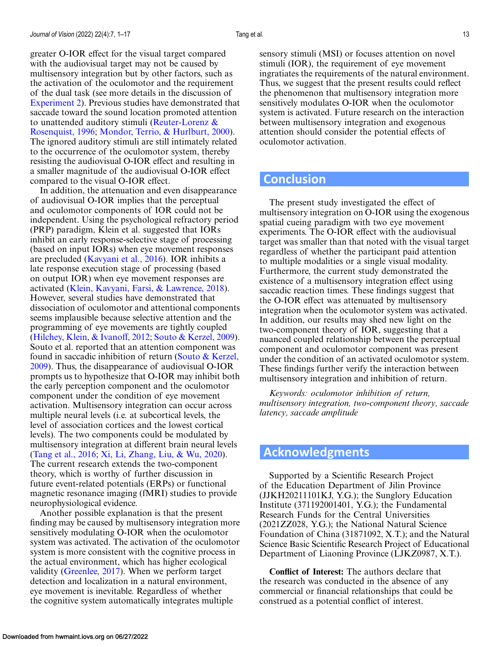greater O-IOR effect for the visual target compared with the audiovisual target may not be caused by multisensory integration but by other factors, such as the activation of the oculomotor and the requirement of the dual task (see more details in the discussion of [Experiment 2\)](#page-8-0). Previous studies have demonstrated that saccade toward the sound location promoted attention [to unattended auditory stimuli \(Reuter-Lorenz &](#page-15-0) Rosenquist, 1996; [Mondor, Terrio, & Hurlburt, 2000\)](#page-15-0). The ignored auditory stimuli are still intimately related to the occurrence of the oculomotor system, thereby resisting the audiovisual O-IOR effect and resulting in a smaller magnitude of the audiovisual O-IOR effect compared to the visual O-IOR effect.

In addition, the attenuation and even disappearance of audiovisual O-IOR implies that the perceptual and oculomotor components of IOR could not be independent. Using the psychological refractory period (PRP) paradigm, Klein et al. suggested that IORs inhibit an early response-selective stage of processing (based on input IORs) when eye movement responses are precluded [\(Kavyani et al., 2016\)](#page-14-0). IOR inhibits a late response execution stage of processing (based on output IOR) when eye movement responses are activated [\(Klein, Kavyani, Farsi, & Lawrence, 2018\)](#page-14-0). However, several studies have demonstrated that dissociation of oculomotor and attentional components seems implausible because selective attention and the programming of eye movements are tightly coupled [\(Hilchey, Klein, & Ivanoff, 2012;](#page-13-0) [Souto & Kerzel, 2009\)](#page-15-0). Souto et al. reported that an attention component was [found in saccadic inhibition of return \(Souto & Kerzel,](#page-15-0) 2009). Thus, the disappearance of audiovisual O-IOR prompts us to hypothesize that O-IOR may inhibit both the early perception component and the oculomotor component under the condition of eye movement activation. Multisensory integration can occur across multiple neural levels (i.e. at subcortical levels, the level of association cortices and the lowest cortical levels). The two components could be modulated by multisensory integration at different brain neural levels [\(Tang et al., 2016;](#page-16-0) [Xi, Li, Zhang, Liu, & Wu, 2020\)](#page-16-0). The current research extends the two-component theory, which is worthy of further discussion in future event-related potentials (ERPs) or functional magnetic resonance imaging (fMRI) studies to provide neurophysiological evidence.

Another possible explanation is that the present finding may be caused by multisensory integration more sensitively modulating O-IOR when the oculomotor system was activated. The activation of the oculomotor system is more consistent with the cognitive process in the actual environment, which has higher ecological validity [\(Greenlee, 2017\)](#page-13-0). When we perform target detection and localization in a natural environment, eye movement is inevitable. Regardless of whether the cognitive system automatically integrates multiple

sensory stimuli (MSI) or focuses attention on novel stimuli (IOR), the requirement of eye movement ingratiates the requirements of the natural environment. Thus, we suggest that the present results could reflect the phenomenon that multisensory integration more sensitively modulates O-IOR when the oculomotor system is activated. Future research on the interaction between multisensory integration and exogenous attention should consider the potential effects of oculomotor activation.

### **Conclusion**

The present study investigated the effect of multisensory integration on O-IOR using the exogenous spatial cueing paradigm with two eye movement experiments. The O-IOR effect with the audiovisual target was smaller than that noted with the visual target regardless of whether the participant paid attention to multiple modalities or a single visual modality. Furthermore, the current study demonstrated the existence of a multisensory integration effect using saccadic reaction times. These findings suggest that the O-IOR effect was attenuated by multisensory integration when the oculomotor system was activated. In addition, our results may shed new light on the two-component theory of IOR, suggesting that a nuanced coupled relationship between the perceptual component and oculomotor component was present under the condition of an activated oculomotor system. These findings further verify the interaction between multisensory integration and inhibition of return.

*Keywords: oculomotor inhibition of return, multisensory integration, two-component theory, saccade latency, saccade amplitude*

# **Acknowledgments**

Supported by a Scientific Research Project of the Education Department of Jilin Province (JJKH20211101KJ, Y.G.); the Sunglory Education Institute (371192001401, Y.G.); the Fundamental Research Funds for the Central Universities (2021ZZ028, Y.G.); the National Natural Science Foundation of China (31871092, X.T.); and the Natural Science Basic Scientific Research Project of Educational Department of Liaoning Province (LJKZ0987, X.T.).

**Conflict of Interest:** The authors declare that the research was conducted in the absence of any commercial or financial relationships that could be construed as a potential conflict of interest.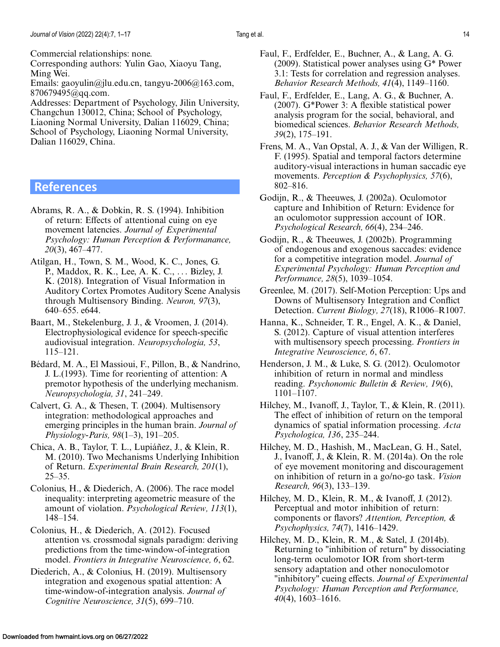<span id="page-13-0"></span>Commercial relationships: none.

Corresponding authors: Yulin Gao, Xiaoyu Tang, Ming Wei.

Emails: gaoyulin@jlu.edu.cn, tangyu-2006@163.com, 870679495@qq.com.

Addresses: Department of Psychology, Jilin University, Changchun 130012, China; School of Psychology, Liaoning Normal University, Dalian 116029, China; School of Psychology, Liaoning Normal University, Dalian 116029, China.

## **References**

- Abrams, R. A., & Dobkin, R. S. (1994). Inhibition of return: Effects of attentional cuing on eye movement latencies. *Journal of Experimental Psychology: Human Perception & Performanance, 20*(3), 467–477.
- Atilgan, H., Town, S. M., Wood, K. C., Jones, G. P., Maddox, R. K., Lee, A. K. C., ... Bizley, J. K. (2018). Integration of Visual Information in Auditory Cortex Promotes Auditory Scene Analysis through Multisensory Binding. *Neuron, 97*(3), 640–655. e644.
- Baart, M., Stekelenburg, J. J., & Vroomen, J. (2014). Electrophysiological evidence for speech-specific audiovisual integration. *Neuropsychologia, 53*, 115–121.
- Bédard, M. A., El Massioui, F., Pillon, B., & Nandrino, J. L.(1993). Time for reorienting of attention: A premotor hypothesis of the underlying mechanism. *Neuropsychologia, 31*, 241–249.
- Calvert, G. A., & Thesen, T. (2004). Multisensory integration: methodological approaches and emerging principles in the human brain. *Journal of Physiology-Paris, 98*(1–3), 191–205.
- Chica, A. B., Taylor, T. L., Lupiáñez, J., & Klein, R. M. (2010). Two Mechanisms Underlying Inhibition of Return. *Experimental Brain Research, 201*(1), 25–35.
- Colonius, H., & Diederich, A. (2006). The race model inequality: interpreting ageometric measure of the amount of violation. *Psychological Review, 113*(1), 148–154.
- Colonius, H., & Diederich, A. (2012). Focused attention vs. crossmodal signals paradigm: deriving predictions from the time-window-of-integration model. *Frontiers in Integrative Neuroscience, 6*, 62.
- Diederich, A., & Colonius, H. (2019). Multisensory integration and exogenous spatial attention: A time-window-of-integration analysis. *Journal of Cognitive Neuroscience, 31*(5), 699–710.
- Faul, F., Erdfelder, E., Buchner, A., & Lang, A. G. (2009). Statistical power analyses using G\* Power 3.1: Tests for correlation and regression analyses. *Behavior Research Methods, 41*(4), 1149–1160.
- Faul, F., Erdfelder, E., Lang, A. G., & Buchner, A. (2007). G\*Power 3: A flexible statistical power analysis program for the social, behavioral, and biomedical sciences. *Behavior Research Methods, 39*(2), 175–191.
- Frens, M. A., Van Opstal, A. J., & Van der Willigen, R. F. (1995). Spatial and temporal factors determine auditory-visual interactions in human saccadic eye movements. *Perception & Psychophysics, 57*(6), 802–816.
- Godijn, R., & Theeuwes, J. (2002a). Oculomotor capture and Inhibition of Return: Evidence for an oculomotor suppression account of IOR. *Psychological Research, 66*(4), 234–246.
- Godijn, R., & Theeuwes, J. (2002b). Programming of endogenous and exogenous saccades: evidence for a competitive integration model. *Journal of Experimental Psychology: Human Perception and Performance, 28*(5), 1039–1054.
- Greenlee, M. (2017). Self-Motion Perception: Ups and Downs of Multisensory Integration and Conflict Detection. *Current Biology, 27*(18), R1006–R1007.
- Hanna, K., Schneider, T. R., Engel, A. K., & Daniel, S. (2012). Capture of visual attention interferes with multisensory speech processing. *Frontiers in Integrative Neuroscience, 6*, 67.
- Henderson, J. M., & Luke, S. G. (2012). Oculomotor inhibition of return in normal and mindless reading. *Psychonomic Bulletin & Review, 19*(6), 1101–1107.
- Hilchey, M., Ivanoff, J., Taylor, T., & Klein, R. (2011). The effect of inhibition of return on the temporal dynamics of spatial information processing. *Acta Psychologica, 136*, 235–244.
- Hilchey, M. D., Hashish, M., MacLean, G. H., Satel, J., Ivanoff, J., & Klein, R. M. (2014a). On the role of eye movement monitoring and discouragement on inhibition of return in a go/no-go task. *Vision Research, 96*(3), 133–139.
- Hilchey, M. D., Klein, R. M., & Ivanoff, J. (2012). Perceptual and motor inhibition of return: components or flavors? *Attention, Perception, & Psychophysics, 74*(7), 1416–1429.
- Hilchey, M. D., Klein, R. M., & Satel, J. (2014b). Returning to "inhibition of return" by dissociating long-term oculomotor IOR from short-term sensory adaptation and other nonoculomotor "inhibitory" cueing effects. *Journal of Experimental Psychology: Human Perception and Performance, 40*(4), 1603–1616.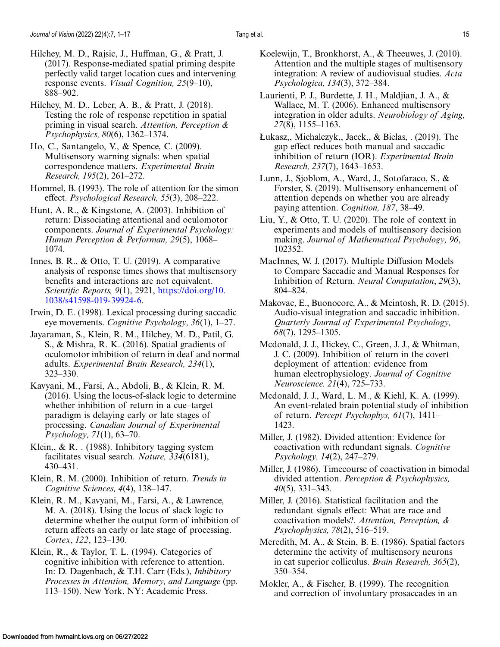- <span id="page-14-0"></span>Hilchey, M. D., Rajsic, J., Huffman, G., & Pratt, J. (2017). Response-mediated spatial priming despite perfectly valid target location cues and intervening response events. *Visual Cognition, 25*(9–10), 888–902.
- Hilchey, M. D., Leber, A. B., & Pratt, J. (2018). Testing the role of response repetition in spatial priming in visual search. *Attention, Perception & Psychophysics, 80*(6), 1362–1374.
- Ho, C., Santangelo, V., & Spence, C. (2009). Multisensory warning signals: when spatial correspondence matters. *Experimental Brain Research, 195*(2), 261–272.
- Hommel, B. (1993). The role of attention for the simon effect. *Psychological Research, 55*(3), 208–222.
- Hunt, A. R., & Kingstone, A. (2003). Inhibition of return: Dissociating attentional and oculomotor components. *Journal of Experimental Psychology: Human Perception & Performan, 29*(5), 1068– 1074.
- Innes, B. R., & Otto, T. U. (2019). A comparative analysis of response times shows that multisensory benefits and interactions are not equivalent. *Scientific Reports, 9*(1), 2921, https://doi.org/10. [1038/s41598-019-39924-6.](https://doi.org/10.1038/s41598-019-39924-6)
- Irwin, D. E. (1998). Lexical processing during saccadic eye movements. *Cognitive Psychology, 36*(1), 1–27.
- Jayaraman, S., Klein, R. M., Hilchey, M. D., Patil, G. S., & Mishra, R. K. (2016). Spatial gradients of oculomotor inhibition of return in deaf and normal adults. *Experimental Brain Research, 234*(1), 323–330.
- Kavyani, M., Farsi, A., Abdoli, B., & Klein, R. M. (2016). Using the locus-of-slack logic to determine whether inhibition of return in a cue–target paradigm is delaying early or late stages of processing. *Canadian Journal of Experimental Psychology, 71*(1), 63–70.
- Klein,, & R, . (1988). Inhibitory tagging system facilitates visual search. *Nature, 334*(6181), 430–431.
- Klein, R. M. (2000). Inhibition of return. *Trends in Cognitive Sciences, 4*(4), 138–147.
- Klein, R. M., Kavyani, M., Farsi, A., & Lawrence, M. A. (2018). Using the locus of slack logic to determine whether the output form of inhibition of return affects an early or late stage of processing. *Cortex*, *122*, 123–130.
- Klein, R., & Taylor, T. L. (1994). Categories of cognitive inhibition with reference to attention. In: D. Dagenbach, & T.H. Carr (Eds.), *Inhibitory Processes in Attention, Memory, and Language* (pp. 113–150). New York, NY: Academic Press.
- Koelewijn, T., Bronkhorst, A., & Theeuwes, J. (2010). Attention and the multiple stages of multisensory integration: A review of audiovisual studies. *Acta Psychologica, 134*(3), 372–384.
- Laurienti, P. J., Burdette, J. H., Maldjian, J. A., & Wallace, M. T. (2006). Enhanced multisensory integration in older adults. *Neurobiology of Aging, 27*(8), 1155–1163.
- Łukasz,, Michalczyk,, Jacek,, & Bielas, . (2019). The gap effect reduces both manual and saccadic inhibition of return (IOR). *Experimental Brain Research, 237*(7), 1643–1653.
- Lunn, J., Sjoblom, A., Ward, J., Sotofaraco, S., & Forster, S. (2019). Multisensory enhancement of attention depends on whether you are already paying attention. *Cognition, 187*, 38–49.
- Liu, Y., & Otto, T. U. (2020). The role of context in experiments and models of multisensory decision making. *Journal of Mathematical Psychology, 96*, 102352.
- MacInnes, W. J. (2017). Multiple Diffusion Models to Compare Saccadic and Manual Responses for Inhibition of Return. *Neural Computation*, *29*(3), 804–824.
- Makovac, E., Buonocore, A., & Mcintosh, R. D. (2015). Audio-visual integration and saccadic inhibition. *Quarterly Journal of Experimental Psychology, 68*(7), 1295–1305.
- Mcdonald, J. J., Hickey, C., Green, J. J., & Whitman, J. C. (2009). Inhibition of return in the covert deployment of attention: evidence from human electrophysiology. *Journal of Cognitive Neuroscience. 21*(4), 725–733.
- Mcdonald, J. J., Ward, L. M., & Kiehl, K. A. (1999). An event-related brain potential study of inhibition of return. *Percept Psychophys, 61*(7), 1411– 1423.
- Miller, J. (1982). Divided attention: Evidence for coactivation with redundant signals. *Cognitive Psychology, 14*(2), 247–279.
- Miller, J. (1986). Timecourse of coactivation in bimodal divided attention. *Perception & Psychophysics, 40*(5), 331–343.
- Miller, J. (2016). Statistical facilitation and the redundant signals effect: What are race and coactivation models?. *Attention, Perception, & Psychophysics, 78*(2), 516–519.
- Meredith, M. A., & Stein, B. E. (1986). Spatial factors determine the activity of multisensory neurons in cat superior colliculus. *Brain Research, 365*(2), 350–354.
- Mokler, A., & Fischer, B. (1999). The recognition and correction of involuntary prosaccades in an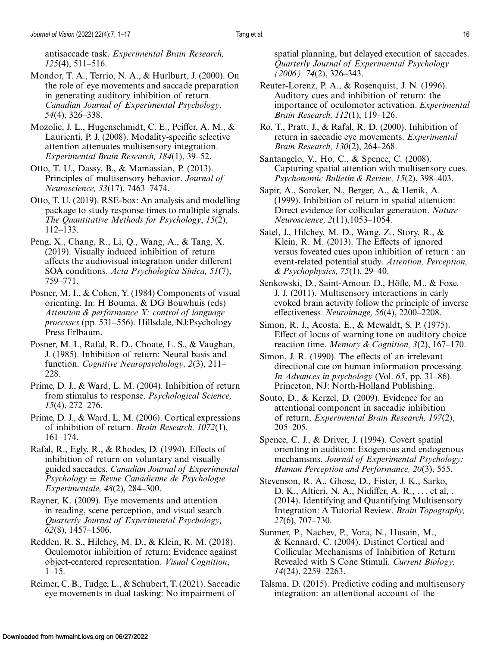<span id="page-15-0"></span>antisaccade task. *Experimental Brain Research, 125*(4), 511–516.

Mondor, T. A., Terrio, N. A., & Hurlburt, J. (2000). On the role of eye movements and saccade preparation in generating auditory inhibition of return. *Canadian Journal of Experimental Psychology, 54*(4), 326–338.

Mozolic, J. L., Hugenschmidt, C. E., Peiffer, A. M., & Laurienti, P. J. (2008). Modality-specific selective attention attenuates multisensory integration. *Experimental Brain Research, 184*(1), 39–52.

Otto, T. U., Dassy, B., & Mamassian, P. (2013). Principles of multisensory behavior. *Journal of Neuroscience, 33*(17), 7463–7474.

Otto, T. U. (2019). RSE-box: An analysis and modelling package to study response times to multiple signals. *The Quantitative Methods for Psychology*, *15*(2), 112–133.

Peng, X., Chang, R., Li, Q., Wang, A., & Tang, X. (2019). Visually induced inhibition of return affects the audiovisual integration under different SOA conditions. *Acta Psychologica Sinica, 51*(7), 759–771.

Posner, M. I., & Cohen, Y. (1984) Components of visual orienting. In: H Bouma, & DG Bouwhuis (eds) *Attention & performance X: control of language processes* (pp. 531–556). Hillsdale, NJ:Psychology Press Erlbaum.

Posner, M. I., Rafal, R. D., Choate, L. S., & Vaughan, J. (1985). Inhibition of return: Neural basis and function. *Cognitive Neuropsychology, 2*(3), 211– 228.

Prime, D. J., & Ward, L. M. (2004). Inhibition of return from stimulus to response. *Psychological Science, 15*(4), 272–276.

Prime, D. J., & Ward, L. M. (2006). Cortical expressions of inhibition of return. *Brain Research, 1072*(1), 161–174.

Rafal, R., Egly, R., & Rhodes, D. (1994). Effects of inhibition of return on voluntary and visually guided saccades. *Canadian Journal of Experimental Psychology* = *Revue Canadienne de Psychologie Experimentale, 48*(2), 284–300.

Rayner, K. (2009). Eye movements and attention in reading, scene perception, and visual search. *Quarterly Journal of Experimental Psychology, 62*(8), 1457–1506.

Redden, R. S., Hilchey, M. D., & Klein, R. M. (2018). Oculomotor inhibition of return: Evidence against object-centered representation. *Visual Cognition*,  $1-15.$ 

Reimer, C. B., Tudge, L., & Schubert, T. (2021). Saccadic eye movements in dual tasking: No impairment of

spatial planning, but delayed execution of saccades. *Quarterly Journal of Experimental Psychology (2006), 74*(2), 326–343.

Reuter-Lorenz, P. A., & Rosenquist, J. N. (1996). Auditory cues and inhibition of return: the importance of oculomotor activation. *Experimental Brain Research, 112*(1), 119–126.

Ro, T., Pratt, J., & Rafal, R. D. (2000). Inhibition of return in saccadic eye movements. *Experimental Brain Research, 130*(2), 264–268.

Santangelo, V., Ho, C., & Spence, C. (2008). Capturing spatial attention with multisensory cues. *Psychonomic Bulletin & Review, 15*(2), 398–403.

Sapir, A., Soroker, N., Berger, A., & Henik, A. (1999). Inhibition of return in spatial attention: Direct evidence for collicular generation. *Nature Neuroscience, 2*(11),1053–1054.

Satel, J., Hilchey, M. D., Wang, Z., Story, R., & Klein, R. M. (2013). The Effects of ignored versus foveated cues upon inhibition of return : an event-related potential study. *Attention, Perception, & Psychophysics, 75*(1), 29–40.

Senkowski, D., Saint-Amour, D., Höfle, M., & Foxe, J. J. (2011). Multisensory interactions in early evoked brain activity follow the principle of inverse effectiveness. *Neuroimage, 56*(4), 2200–2208.

Simon, R. J., Acosta, E., & Mewaldt, S. P. (1975). Effect of locus of warning tone on auditory choice reaction time. *Memory & Cognition, 3*(2), 167–170.

Simon, J. R. (1990). The effects of an irrelevant directional cue on human information processing. *In Advances in psychology* (Vol. *65*, pp. 31–86). Princeton, NJ: North-Holland Publishing.

Souto, D., & Kerzel, D. (2009). Evidence for an attentional component in saccadic inhibition of return. *Experimental Brain Research, 197*(2), 205–205.

Spence, C. J., & Driver, J. (1994). Covert spatial orienting in audition: Exogenous and endogenous mechanisms. *Journal of Experimental Psychology: Human Perception and Performance, 20*(3), 555.

Stevenson, R. A., Ghose, D., Fister, J. K., Sarko, D. K., Altieri, N. A., Nidiffer, A. R., ... et al, . (2014). Identifying and Quantifying Multisensory Integration: A Tutorial Review. *Brain Topography, 27*(6), 707–730.

Sumner, P., Nachev, P., Vora, N., Husain, M., & Kennard, C. (2004). Distinct Cortical and Collicular Mechanisms of Inhibition of Return Revealed with S Cone Stimuli. *Current Biology, 14*(24), 2259–2263.

Talsma, D. (2015). Predictive coding and multisensory integration: an attentional account of the